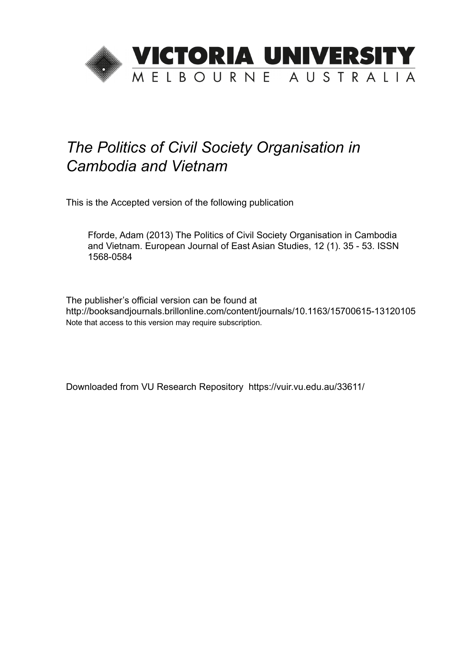

# *The Politics of Civil Society Organisation in Cambodia and Vietnam*

This is the Accepted version of the following publication

Fforde, Adam (2013) The Politics of Civil Society Organisation in Cambodia and Vietnam. European Journal of East Asian Studies, 12 (1). 35 - 53. ISSN 1568-0584

The publisher's official version can be found at http://booksandjournals.brillonline.com/content/journals/10.1163/15700615-13120105 Note that access to this version may require subscription.

Downloaded from VU Research Repository https://vuir.vu.edu.au/33611/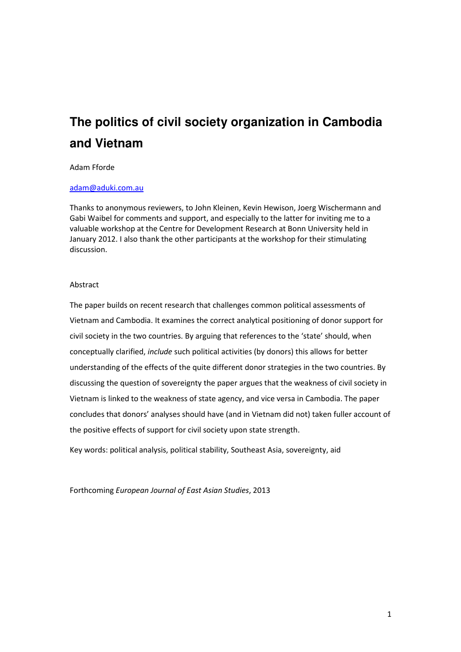# **The politics of civil society organization in Cambodia and Vietnam**

#### Adam Fforde

#### adam@aduki.com.au

Thanks to anonymous reviewers, to John Kleinen, Kevin Hewison, Joerg Wischermann and Gabi Waibel for comments and support, and especially to the latter for inviting me to a valuable workshop at the Centre for Development Research at Bonn University held in January 2012. I also thank the other participants at the workshop for their stimulating discussion.

#### Abstract

The paper builds on recent research that challenges common political assessments of Vietnam and Cambodia. It examines the correct analytical positioning of donor support for civil society in the two countries. By arguing that references to the 'state' should, when conceptually clarified, include such political activities (by donors) this allows for better understanding of the effects of the quite different donor strategies in the two countries. By discussing the question of sovereignty the paper argues that the weakness of civil society in Vietnam is linked to the weakness of state agency, and vice versa in Cambodia. The paper concludes that donors' analyses should have (and in Vietnam did not) taken fuller account of the positive effects of support for civil society upon state strength.

Key words: political analysis, political stability, Southeast Asia, sovereignty, aid

Forthcoming European Journal of East Asian Studies, 2013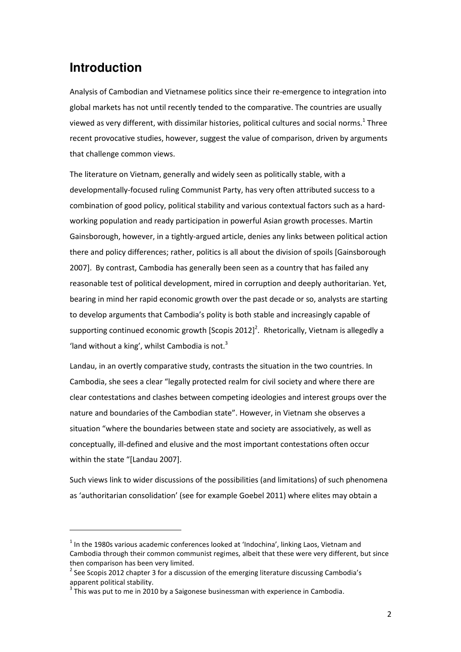## **Introduction**

l

Analysis of Cambodian and Vietnamese politics since their re-emergence to integration into global markets has not until recently tended to the comparative. The countries are usually viewed as very different, with dissimilar histories, political cultures and social norms.<sup>1</sup> Three recent provocative studies, however, suggest the value of comparison, driven by arguments that challenge common views.

The literature on Vietnam, generally and widely seen as politically stable, with a developmentally-focused ruling Communist Party, has very often attributed success to a combination of good policy, political stability and various contextual factors such as a hardworking population and ready participation in powerful Asian growth processes. Martin Gainsborough, however, in a tightly-argued article, denies any links between political action there and policy differences; rather, politics is all about the division of spoils [Gainsborough 2007]. By contrast, Cambodia has generally been seen as a country that has failed any reasonable test of political development, mired in corruption and deeply authoritarian. Yet, bearing in mind her rapid economic growth over the past decade or so, analysts are starting to develop arguments that Cambodia's polity is both stable and increasingly capable of supporting continued economic growth [Scopis 2012]<sup>2</sup>. Rhetorically, Vietnam is allegedly a 'land without a king', whilst Cambodia is not. $3$ 

Landau, in an overtly comparative study, contrasts the situation in the two countries. In Cambodia, she sees a clear "legally protected realm for civil society and where there are clear contestations and clashes between competing ideologies and interest groups over the nature and boundaries of the Cambodian state". However, in Vietnam she observes a situation "where the boundaries between state and society are associatively, as well as conceptually, ill-defined and elusive and the most important contestations often occur within the state "[Landau 2007].

Such views link to wider discussions of the possibilities (and limitations) of such phenomena as 'authoritarian consolidation' (see for example Goebel 2011) where elites may obtain a

 $^1$  In the 1980s various academic conferences looked at 'Indochina', linking Laos, Vietnam and Cambodia through their common communist regimes, albeit that these were very different, but since then comparison has been very limited.

<sup>&</sup>lt;sup>2</sup> See Scopis 2012 chapter 3 for a discussion of the emerging literature discussing Cambodia's apparent political stability.

 $3$  This was put to me in 2010 by a Saigonese businessman with experience in Cambodia.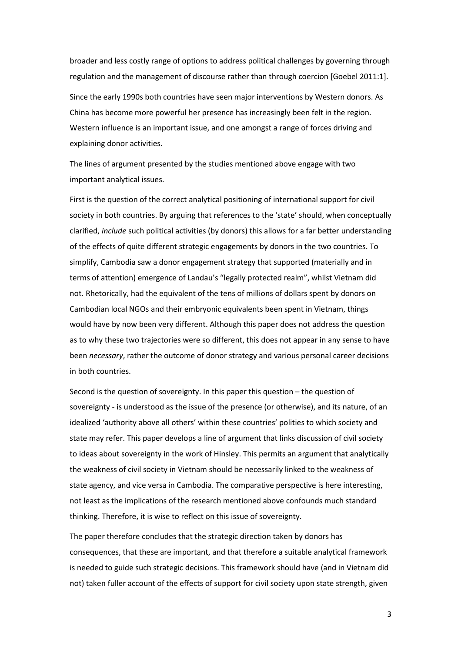broader and less costly range of options to address political challenges by governing through regulation and the management of discourse rather than through coercion [Goebel 2011:1]. Since the early 1990s both countries have seen major interventions by Western donors. As China has become more powerful her presence has increasingly been felt in the region. Western influence is an important issue, and one amongst a range of forces driving and explaining donor activities.

The lines of argument presented by the studies mentioned above engage with two important analytical issues.

First is the question of the correct analytical positioning of international support for civil society in both countries. By arguing that references to the 'state' should, when conceptually clarified, include such political activities (by donors) this allows for a far better understanding of the effects of quite different strategic engagements by donors in the two countries. To simplify, Cambodia saw a donor engagement strategy that supported (materially and in terms of attention) emergence of Landau's "legally protected realm", whilst Vietnam did not. Rhetorically, had the equivalent of the tens of millions of dollars spent by donors on Cambodian local NGOs and their embryonic equivalents been spent in Vietnam, things would have by now been very different. Although this paper does not address the question as to why these two trajectories were so different, this does not appear in any sense to have been necessary, rather the outcome of donor strategy and various personal career decisions in both countries.

Second is the question of sovereignty. In this paper this question – the question of sovereignty - is understood as the issue of the presence (or otherwise), and its nature, of an idealized 'authority above all others' within these countries' polities to which society and state may refer. This paper develops a line of argument that links discussion of civil society to ideas about sovereignty in the work of Hinsley. This permits an argument that analytically the weakness of civil society in Vietnam should be necessarily linked to the weakness of state agency, and vice versa in Cambodia. The comparative perspective is here interesting, not least as the implications of the research mentioned above confounds much standard thinking. Therefore, it is wise to reflect on this issue of sovereignty.

The paper therefore concludes that the strategic direction taken by donors has consequences, that these are important, and that therefore a suitable analytical framework is needed to guide such strategic decisions. This framework should have (and in Vietnam did not) taken fuller account of the effects of support for civil society upon state strength, given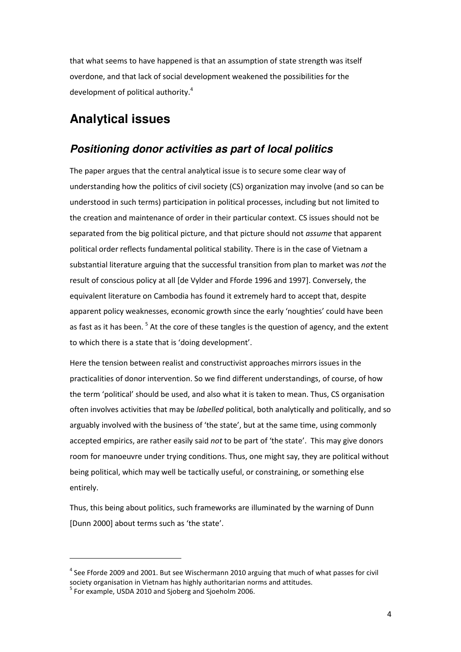that what seems to have happened is that an assumption of state strength was itself overdone, and that lack of social development weakened the possibilities for the development of political authority.<sup>4</sup>

# **Analytical issues**

### **Positioning donor activities as part of local politics**

The paper argues that the central analytical issue is to secure some clear way of understanding how the politics of civil society (CS) organization may involve (and so can be understood in such terms) participation in political processes, including but not limited to the creation and maintenance of order in their particular context. CS issues should not be separated from the big political picture, and that picture should not *assume* that apparent political order reflects fundamental political stability. There is in the case of Vietnam a substantial literature arguing that the successful transition from plan to market was not the result of conscious policy at all [de Vylder and Fforde 1996 and 1997]. Conversely, the equivalent literature on Cambodia has found it extremely hard to accept that, despite apparent policy weaknesses, economic growth since the early 'noughties' could have been as fast as it has been. <sup>5</sup> At the core of these tangles is the question of agency, and the extent to which there is a state that is 'doing development'.

Here the tension between realist and constructivist approaches mirrors issues in the practicalities of donor intervention. So we find different understandings, of course, of how the term 'political' should be used, and also what it is taken to mean. Thus, CS organisation often involves activities that may be *labelled* political, both analytically and politically, and so arguably involved with the business of 'the state', but at the same time, using commonly accepted empirics, are rather easily said not to be part of 'the state'. This may give donors room for manoeuvre under trying conditions. Thus, one might say, they are political without being political, which may well be tactically useful, or constraining, or something else entirely.

Thus, this being about politics, such frameworks are illuminated by the warning of Dunn [Dunn 2000] about terms such as 'the state'.

 $\overline{a}$ 

 $<sup>4</sup>$  See Fforde 2009 and 2001. But see Wischermann 2010 arguing that much of what passes for civil</sup> society organisation in Vietnam has highly authoritarian norms and attitudes.

<sup>&</sup>lt;sup>5</sup> For example, USDA 2010 and Sjoberg and Sjoeholm 2006.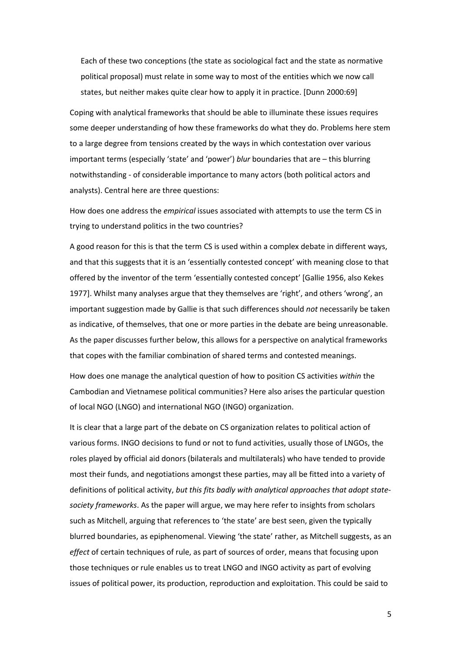Each of these two conceptions (the state as sociological fact and the state as normative political proposal) must relate in some way to most of the entities which we now call states, but neither makes quite clear how to apply it in practice. [Dunn 2000:69]

Coping with analytical frameworks that should be able to illuminate these issues requires some deeper understanding of how these frameworks do what they do. Problems here stem to a large degree from tensions created by the ways in which contestation over various important terms (especially 'state' and 'power') blur boundaries that are – this blurring notwithstanding - of considerable importance to many actors (both political actors and analysts). Central here are three questions:

How does one address the empirical issues associated with attempts to use the term CS in trying to understand politics in the two countries?

A good reason for this is that the term CS is used within a complex debate in different ways, and that this suggests that it is an 'essentially contested concept' with meaning close to that offered by the inventor of the term 'essentially contested concept' [Gallie 1956, also Kekes 1977]. Whilst many analyses argue that they themselves are 'right', and others 'wrong', an important suggestion made by Gallie is that such differences should not necessarily be taken as indicative, of themselves, that one or more parties in the debate are being unreasonable. As the paper discusses further below, this allows for a perspective on analytical frameworks that copes with the familiar combination of shared terms and contested meanings.

How does one manage the analytical question of how to position CS activities within the Cambodian and Vietnamese political communities? Here also arises the particular question of local NGO (LNGO) and international NGO (INGO) organization.

It is clear that a large part of the debate on CS organization relates to political action of various forms. INGO decisions to fund or not to fund activities, usually those of LNGOs, the roles played by official aid donors (bilaterals and multilaterals) who have tended to provide most their funds, and negotiations amongst these parties, may all be fitted into a variety of definitions of political activity, but this fits badly with analytical approaches that adopt statesociety frameworks. As the paper will argue, we may here refer to insights from scholars such as Mitchell, arguing that references to 'the state' are best seen, given the typically blurred boundaries, as epiphenomenal. Viewing 'the state' rather, as Mitchell suggests, as an effect of certain techniques of rule, as part of sources of order, means that focusing upon those techniques or rule enables us to treat LNGO and INGO activity as part of evolving issues of political power, its production, reproduction and exploitation. This could be said to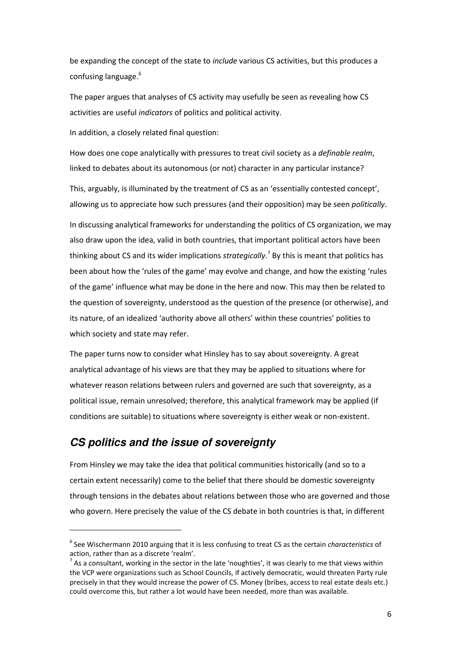be expanding the concept of the state to *include* various CS activities, but this produces a confusing language.<sup>6</sup>

The paper argues that analyses of CS activity may usefully be seen as revealing how CS activities are useful indicators of politics and political activity.

In addition, a closely related final question:

How does one cope analytically with pressures to treat civil society as a *definable realm*, linked to debates about its autonomous (or not) character in any particular instance?

This, arguably, is illuminated by the treatment of CS as an 'essentially contested concept', allowing us to appreciate how such pressures (and their opposition) may be seen *politically*.

In discussing analytical frameworks for understanding the politics of CS organization, we may also draw upon the idea, valid in both countries, that important political actors have been thinking about CS and its wider implications strategically.<sup>7</sup> By this is meant that politics has been about how the 'rules of the game' may evolve and change, and how the existing 'rules of the game' influence what may be done in the here and now. This may then be related to the question of sovereignty, understood as the question of the presence (or otherwise), and its nature, of an idealized 'authority above all others' within these countries' polities to which society and state may refer.

The paper turns now to consider what Hinsley has to say about sovereignty. A great analytical advantage of his views are that they may be applied to situations where for whatever reason relations between rulers and governed are such that sovereignty, as a political issue, remain unresolved; therefore, this analytical framework may be applied (if conditions are suitable) to situations where sovereignty is either weak or non-existent.

### **CS politics and the issue of sovereignty**

l

From Hinsley we may take the idea that political communities historically (and so to a certain extent necessarily) come to the belief that there should be domestic sovereignty through tensions in the debates about relations between those who are governed and those who govern. Here precisely the value of the CS debate in both countries is that, in different

 $^6$  See Wischermann 2010 arguing that it is less confusing to treat CS as the certain characteristics of action, rather than as a discrete 'realm'.

 $^7$  As a consultant, working in the sector in the late 'noughties', it was clearly to me that views within the VCP were organizations such as School Councils, if actively democratic, would threaten Party rule precisely in that they would increase the power of CS. Money (bribes, access to real estate deals etc.) could overcome this, but rather a lot would have been needed, more than was available.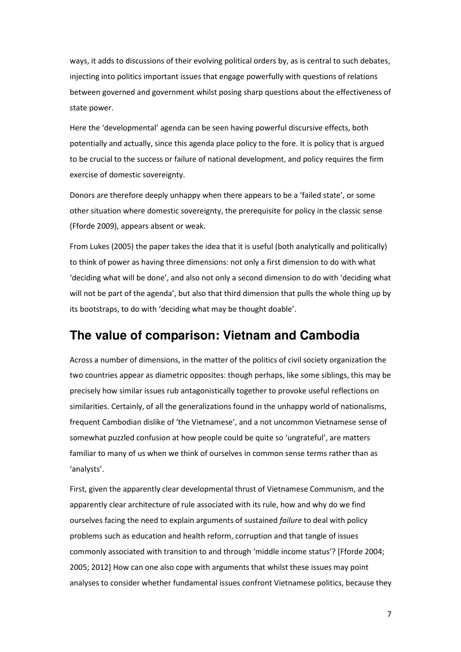ways, it adds to discussions of their evolving political orders by, as is central to such debates, injecting into politics important issues that engage powerfully with questions of relations between governed and government whilst posing sharp questions about the effectiveness of state power.

Here the 'developmental' agenda can be seen having powerful discursive effects, both potentially and actually, since this agenda place policy to the fore. It is policy that is argued to be crucial to the success or failure of national development, and policy requires the firm exercise of domestic sovereignty.

Donors are therefore deeply unhappy when there appears to be a 'failed state', or some other situation where domestic sovereignty, the prerequisite for policy in the classic sense (Fforde 2009), appears absent or weak.

From Lukes (2005) the paper takes the idea that it is useful (both analytically and politically) to think of power as having three dimensions: not only a first dimension to do with what 'deciding what will be done', and also not only a second dimension to do with 'deciding what will not be part of the agenda', but also that third dimension that pulls the whole thing up by its bootstraps, to do with 'deciding what may be thought doable'.

### **The value of comparison: Vietnam and Cambodia**

Across a number of dimensions, in the matter of the politics of civil society organization the two countries appear as diametric opposites: though perhaps, like some siblings, this may be precisely how similar issues rub antagonistically together to provoke useful reflections on similarities. Certainly, of all the generalizations found in the unhappy world of nationalisms, frequent Cambodian dislike of 'the Vietnamese', and a not uncommon Vietnamese sense of somewhat puzzled confusion at how people could be quite so 'ungrateful', are matters familiar to many of us when we think of ourselves in common sense terms rather than as 'analysts'.

First, given the apparently clear developmental thrust of Vietnamese Communism, and the apparently clear architecture of rule associated with its rule, how and why do we find ourselves facing the need to explain arguments of sustained failure to deal with policy problems such as education and health reform, corruption and that tangle of issues commonly associated with transition to and through 'middle income status'? [Fforde 2004; 2005; 2012] How can one also cope with arguments that whilst these issues may point analyses to consider whether fundamental issues confront Vietnamese politics, because they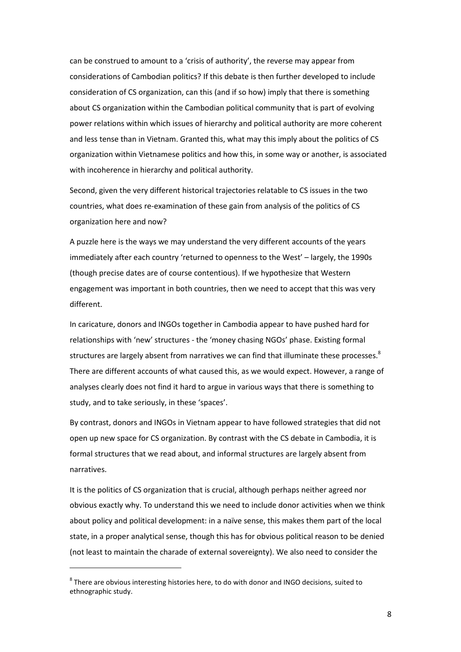can be construed to amount to a 'crisis of authority', the reverse may appear from considerations of Cambodian politics? If this debate is then further developed to include consideration of CS organization, can this (and if so how) imply that there is something about CS organization within the Cambodian political community that is part of evolving power relations within which issues of hierarchy and political authority are more coherent and less tense than in Vietnam. Granted this, what may this imply about the politics of CS organization within Vietnamese politics and how this, in some way or another, is associated with incoherence in hierarchy and political authority.

Second, given the very different historical trajectories relatable to CS issues in the two countries, what does re-examination of these gain from analysis of the politics of CS organization here and now?

A puzzle here is the ways we may understand the very different accounts of the years immediately after each country 'returned to openness to the West' – largely, the 1990s (though precise dates are of course contentious). If we hypothesize that Western engagement was important in both countries, then we need to accept that this was very different.

In caricature, donors and INGOs together in Cambodia appear to have pushed hard for relationships with 'new' structures - the 'money chasing NGOs' phase. Existing formal structures are largely absent from narratives we can find that illuminate these processes.<sup>8</sup> There are different accounts of what caused this, as we would expect. However, a range of analyses clearly does not find it hard to argue in various ways that there is something to study, and to take seriously, in these 'spaces'.

By contrast, donors and INGOs in Vietnam appear to have followed strategies that did not open up new space for CS organization. By contrast with the CS debate in Cambodia, it is formal structures that we read about, and informal structures are largely absent from narratives.

It is the politics of CS organization that is crucial, although perhaps neither agreed nor obvious exactly why. To understand this we need to include donor activities when we think about policy and political development: in a naïve sense, this makes them part of the local state, in a proper analytical sense, though this has for obvious political reason to be denied (not least to maintain the charade of external sovereignty). We also need to consider the

l

 $^8$  There are obvious interesting histories here, to do with donor and INGO decisions, suited to ethnographic study.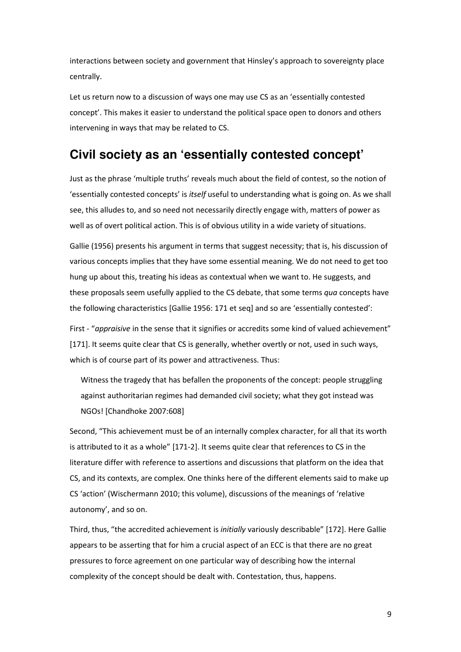interactions between society and government that Hinsley's approach to sovereignty place centrally.

Let us return now to a discussion of ways one may use CS as an 'essentially contested concept'. This makes it easier to understand the political space open to donors and others intervening in ways that may be related to CS.

### **Civil society as an 'essentially contested concept'**

Just as the phrase 'multiple truths' reveals much about the field of contest, so the notion of 'essentially contested concepts' is itself useful to understanding what is going on. As we shall see, this alludes to, and so need not necessarily directly engage with, matters of power as well as of overt political action. This is of obvious utility in a wide variety of situations.

Gallie (1956) presents his argument in terms that suggest necessity; that is, his discussion of various concepts implies that they have some essential meaning. We do not need to get too hung up about this, treating his ideas as contextual when we want to. He suggests, and these proposals seem usefully applied to the CS debate, that some terms qua concepts have the following characteristics [Gallie 1956: 171 et seq] and so are 'essentially contested':

First - "appraisive in the sense that it signifies or accredits some kind of valued achievement" [171]. It seems quite clear that CS is generally, whether overtly or not, used in such ways, which is of course part of its power and attractiveness. Thus:

Witness the tragedy that has befallen the proponents of the concept: people struggling against authoritarian regimes had demanded civil society; what they got instead was NGOs! [Chandhoke 2007:608]

Second, "This achievement must be of an internally complex character, for all that its worth is attributed to it as a whole" [171-2]. It seems quite clear that references to CS in the literature differ with reference to assertions and discussions that platform on the idea that CS, and its contexts, are complex. One thinks here of the different elements said to make up CS 'action' (Wischermann 2010; this volume), discussions of the meanings of 'relative autonomy', and so on.

Third, thus, "the accredited achievement is initially variously describable" [172]. Here Gallie appears to be asserting that for him a crucial aspect of an ECC is that there are no great pressures to force agreement on one particular way of describing how the internal complexity of the concept should be dealt with. Contestation, thus, happens.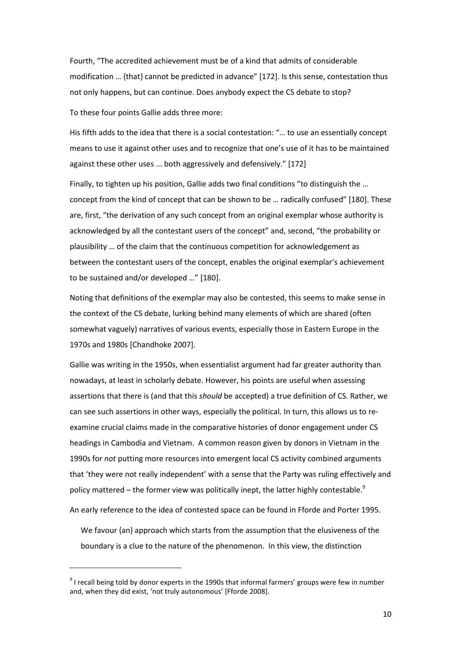Fourth, "The accredited achievement must be of a kind that admits of considerable modification … {that} cannot be predicted in advance" [172]. Is this sense, contestation thus not only happens, but can continue. Does anybody expect the CS debate to stop?

To these four points Gallie adds three more:

His fifth adds to the idea that there is a social contestation: "… to use an essentially concept means to use it against other uses and to recognize that one's use of it has to be maintained against these other uses ... both aggressively and defensively." [172]

Finally, to tighten up his position, Gallie adds two final conditions "to distinguish the … concept from the kind of concept that can be shown to be … radically confused" [180]. These are, first, "the derivation of any such concept from an original exemplar whose authority is acknowledged by all the contestant users of the concept" and, second, "the probability or plausibility … of the claim that the continuous competition for acknowledgement as between the contestant users of the concept, enables the original exemplar's achievement to be sustained and/or developed …" [180].

Noting that definitions of the exemplar may also be contested, this seems to make sense in the context of the CS debate, lurking behind many elements of which are shared (often somewhat vaguely) narratives of various events, especially those in Eastern Europe in the 1970s and 1980s [Chandhoke 2007].

Gallie was writing in the 1950s, when essentialist argument had far greater authority than nowadays, at least in scholarly debate. However, his points are useful when assessing assertions that there is (and that this should be accepted) a true definition of CS. Rather, we can see such assertions in other ways, especially the political. In turn, this allows us to reexamine crucial claims made in the comparative histories of donor engagement under CS headings in Cambodia and Vietnam. A common reason given by donors in Vietnam in the 1990s for not putting more resources into emergent local CS activity combined arguments that 'they were not really independent' with a sense that the Party was ruling effectively and policy mattered – the former view was politically inept, the latter highly contestable.<sup>9</sup>

An early reference to the idea of contested space can be found in Fforde and Porter 1995.

We favour {an} approach which starts from the assumption that the elusiveness of the boundary is a clue to the nature of the phenomenon. In this view, the distinction

l

 $9$  I recall being told by donor experts in the 1990s that informal farmers' groups were few in number and, when they did exist, 'not truly autonomous' [Fforde 2008].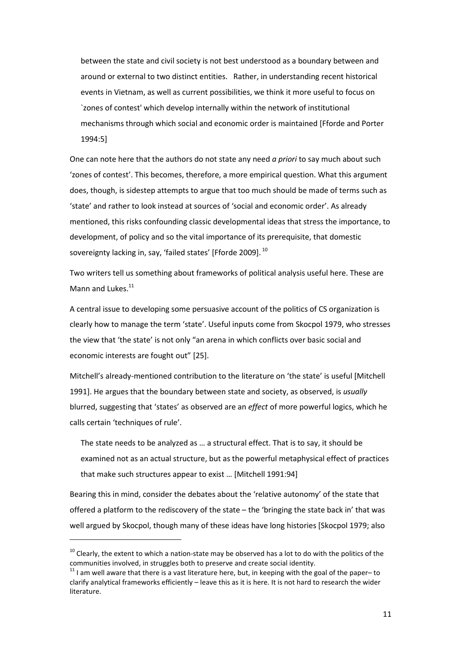between the state and civil society is not best understood as a boundary between and around or external to two distinct entities. Rather, in understanding recent historical events in Vietnam, as well as current possibilities, we think it more useful to focus on `zones of contest' which develop internally within the network of institutional mechanisms through which social and economic order is maintained [Fforde and Porter 1994:5]

One can note here that the authors do not state any need a priori to say much about such 'zones of contest'. This becomes, therefore, a more empirical question. What this argument does, though, is sidestep attempts to argue that too much should be made of terms such as 'state' and rather to look instead at sources of 'social and economic order'. As already mentioned, this risks confounding classic developmental ideas that stress the importance, to development, of policy and so the vital importance of its prerequisite, that domestic sovereignty lacking in, say, 'failed states' [Fforde 2009].<sup>10</sup>

Two writers tell us something about frameworks of political analysis useful here. These are Mann and Lukes.<sup>11</sup>

A central issue to developing some persuasive account of the politics of CS organization is clearly how to manage the term 'state'. Useful inputs come from Skocpol 1979, who stresses the view that 'the state' is not only "an arena in which conflicts over basic social and economic interests are fought out" [25].

Mitchell's already-mentioned contribution to the literature on 'the state' is useful [Mitchell 1991]. He argues that the boundary between state and society, as observed, is usually blurred, suggesting that 'states' as observed are an *effect* of more powerful logics, which he calls certain 'techniques of rule'.

The state needs to be analyzed as … a structural effect. That is to say, it should be examined not as an actual structure, but as the powerful metaphysical effect of practices that make such structures appear to exist … [Mitchell 1991:94]

Bearing this in mind, consider the debates about the 'relative autonomy' of the state that offered a platform to the rediscovery of the state – the 'bringing the state back in' that was well argued by Skocpol, though many of these ideas have long histories [Skocpol 1979; also

 $\overline{a}$ 

 $10$  Clearly, the extent to which a nation-state may be observed has a lot to do with the politics of the communities involved, in struggles both to preserve and create social identity.

 $11$  I am well aware that there is a vast literature here, but, in keeping with the goal of the paper– to clarify analytical frameworks efficiently – leave this as it is here. It is not hard to research the wider literature.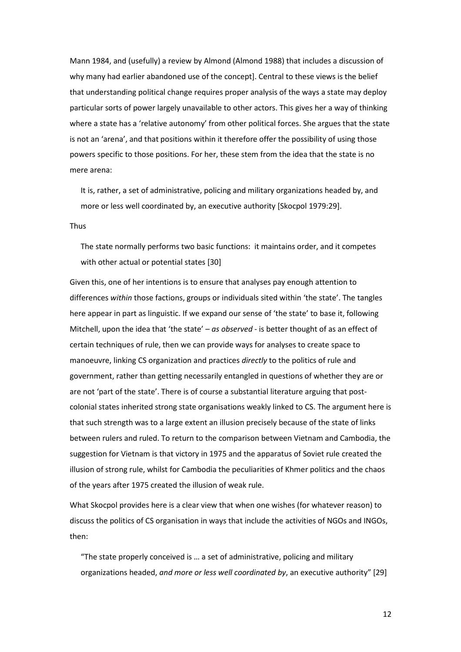Mann 1984, and (usefully) a review by Almond (Almond 1988) that includes a discussion of why many had earlier abandoned use of the concept]. Central to these views is the belief that understanding political change requires proper analysis of the ways a state may deploy particular sorts of power largely unavailable to other actors. This gives her a way of thinking where a state has a 'relative autonomy' from other political forces. She argues that the state is not an 'arena', and that positions within it therefore offer the possibility of using those powers specific to those positions. For her, these stem from the idea that the state is no mere arena:

It is, rather, a set of administrative, policing and military organizations headed by, and more or less well coordinated by, an executive authority [Skocpol 1979:29].

#### Thus

The state normally performs two basic functions: it maintains order, and it competes with other actual or potential states [30]

Given this, one of her intentions is to ensure that analyses pay enough attention to differences within those factions, groups or individuals sited within 'the state'. The tangles here appear in part as linguistic. If we expand our sense of 'the state' to base it, following Mitchell, upon the idea that 'the state' –  $as$  observed - is better thought of as an effect of certain techniques of rule, then we can provide ways for analyses to create space to manoeuvre, linking CS organization and practices directly to the politics of rule and government, rather than getting necessarily entangled in questions of whether they are or are not 'part of the state'. There is of course a substantial literature arguing that postcolonial states inherited strong state organisations weakly linked to CS. The argument here is that such strength was to a large extent an illusion precisely because of the state of links between rulers and ruled. To return to the comparison between Vietnam and Cambodia, the suggestion for Vietnam is that victory in 1975 and the apparatus of Soviet rule created the illusion of strong rule, whilst for Cambodia the peculiarities of Khmer politics and the chaos of the years after 1975 created the illusion of weak rule.

What Skocpol provides here is a clear view that when one wishes (for whatever reason) to discuss the politics of CS organisation in ways that include the activities of NGOs and INGOs, then:

"The state properly conceived is … a set of administrative, policing and military organizations headed, and more or less well coordinated by, an executive authority" [29]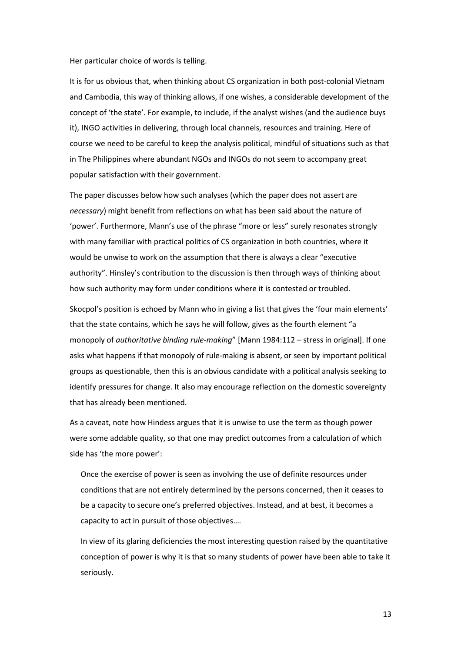Her particular choice of words is telling.

It is for us obvious that, when thinking about CS organization in both post-colonial Vietnam and Cambodia, this way of thinking allows, if one wishes, a considerable development of the concept of 'the state'. For example, to include, if the analyst wishes (and the audience buys it), INGO activities in delivering, through local channels, resources and training. Here of course we need to be careful to keep the analysis political, mindful of situations such as that in The Philippines where abundant NGOs and INGOs do not seem to accompany great popular satisfaction with their government.

The paper discusses below how such analyses (which the paper does not assert are necessary) might benefit from reflections on what has been said about the nature of 'power'. Furthermore, Mann's use of the phrase "more or less" surely resonates strongly with many familiar with practical politics of CS organization in both countries, where it would be unwise to work on the assumption that there is always a clear "executive authority". Hinsley's contribution to the discussion is then through ways of thinking about how such authority may form under conditions where it is contested or troubled.

Skocpol's position is echoed by Mann who in giving a list that gives the 'four main elements' that the state contains, which he says he will follow, gives as the fourth element "a monopoly of *authoritative binding rule-making*" [Mann 1984:112 – stress in original]. If one asks what happens if that monopoly of rule-making is absent, or seen by important political groups as questionable, then this is an obvious candidate with a political analysis seeking to identify pressures for change. It also may encourage reflection on the domestic sovereignty that has already been mentioned.

As a caveat, note how Hindess argues that it is unwise to use the term as though power were some addable quality, so that one may predict outcomes from a calculation of which side has 'the more power':

Once the exercise of power is seen as involving the use of definite resources under conditions that are not entirely determined by the persons concerned, then it ceases to be a capacity to secure one's preferred objectives. Instead, and at best, it becomes a capacity to act in pursuit of those objectives.…

In view of its glaring deficiencies the most interesting question raised by the quantitative conception of power is why it is that so many students of power have been able to take it seriously.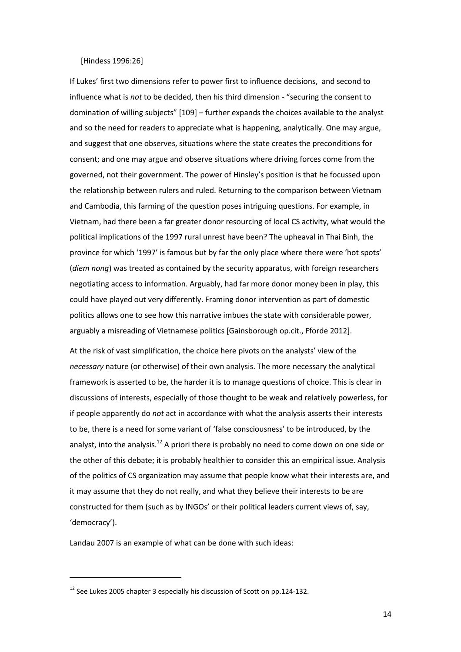#### [Hindess 1996:26]

If Lukes' first two dimensions refer to power first to influence decisions, and second to influence what is not to be decided, then his third dimension - "securing the consent to domination of willing subjects" [109] – further expands the choices available to the analyst and so the need for readers to appreciate what is happening, analytically. One may argue, and suggest that one observes, situations where the state creates the preconditions for consent; and one may argue and observe situations where driving forces come from the governed, not their government. The power of Hinsley's position is that he focussed upon the relationship between rulers and ruled. Returning to the comparison between Vietnam and Cambodia, this farming of the question poses intriguing questions. For example, in Vietnam, had there been a far greater donor resourcing of local CS activity, what would the political implications of the 1997 rural unrest have been? The upheaval in Thai Binh, the province for which '1997' is famous but by far the only place where there were 'hot spots' (diem nong) was treated as contained by the security apparatus, with foreign researchers negotiating access to information. Arguably, had far more donor money been in play, this could have played out very differently. Framing donor intervention as part of domestic politics allows one to see how this narrative imbues the state with considerable power, arguably a misreading of Vietnamese politics [Gainsborough op.cit., Fforde 2012].

At the risk of vast simplification, the choice here pivots on the analysts' view of the necessary nature (or otherwise) of their own analysis. The more necessary the analytical framework is asserted to be, the harder it is to manage questions of choice. This is clear in discussions of interests, especially of those thought to be weak and relatively powerless, for if people apparently do not act in accordance with what the analysis asserts their interests to be, there is a need for some variant of 'false consciousness' to be introduced, by the analyst, into the analysis.<sup>12</sup> A priori there is probably no need to come down on one side or the other of this debate; it is probably healthier to consider this an empirical issue. Analysis of the politics of CS organization may assume that people know what their interests are, and it may assume that they do not really, and what they believe their interests to be are constructed for them (such as by INGOs' or their political leaders current views of, say, 'democracy').

Landau 2007 is an example of what can be done with such ideas:

l

 $12$  See Lukes 2005 chapter 3 especially his discussion of Scott on pp.124-132.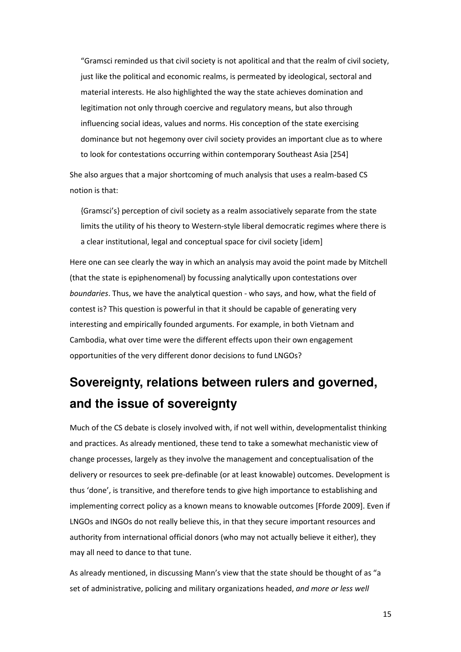"Gramsci reminded us that civil society is not apolitical and that the realm of civil society, just like the political and economic realms, is permeated by ideological, sectoral and material interests. He also highlighted the way the state achieves domination and legitimation not only through coercive and regulatory means, but also through influencing social ideas, values and norms. His conception of the state exercising dominance but not hegemony over civil society provides an important clue as to where to look for contestations occurring within contemporary Southeast Asia [254]

She also argues that a major shortcoming of much analysis that uses a realm-based CS notion is that:

{Gramsci's} perception of civil society as a realm associatively separate from the state limits the utility of his theory to Western-style liberal democratic regimes where there is a clear institutional, legal and conceptual space for civil society [idem]

Here one can see clearly the way in which an analysis may avoid the point made by Mitchell (that the state is epiphenomenal) by focussing analytically upon contestations over boundaries. Thus, we have the analytical question - who says, and how, what the field of contest is? This question is powerful in that it should be capable of generating very interesting and empirically founded arguments. For example, in both Vietnam and Cambodia, what over time were the different effects upon their own engagement opportunities of the very different donor decisions to fund LNGOs?

# **Sovereignty, relations between rulers and governed, and the issue of sovereignty**

Much of the CS debate is closely involved with, if not well within, developmentalist thinking and practices. As already mentioned, these tend to take a somewhat mechanistic view of change processes, largely as they involve the management and conceptualisation of the delivery or resources to seek pre-definable (or at least knowable) outcomes. Development is thus 'done', is transitive, and therefore tends to give high importance to establishing and implementing correct policy as a known means to knowable outcomes [Fforde 2009]. Even if LNGOs and INGOs do not really believe this, in that they secure important resources and authority from international official donors (who may not actually believe it either), they may all need to dance to that tune.

As already mentioned, in discussing Mann's view that the state should be thought of as "a set of administrative, policing and military organizations headed, and more or less well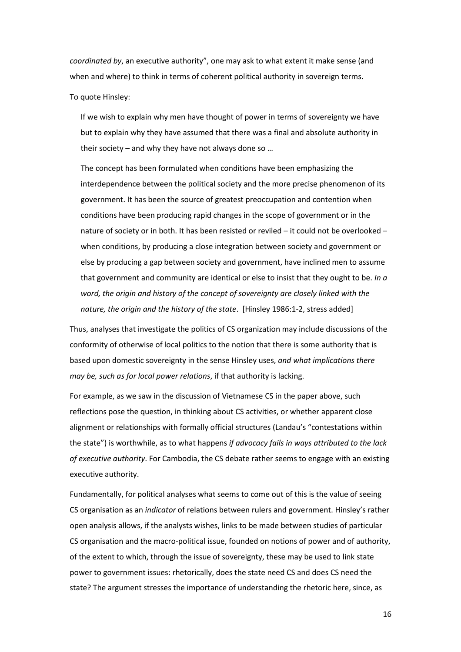coordinated by, an executive authority", one may ask to what extent it make sense (and when and where) to think in terms of coherent political authority in sovereign terms.

To quote Hinsley:

If we wish to explain why men have thought of power in terms of sovereignty we have but to explain why they have assumed that there was a final and absolute authority in their society – and why they have not always done so …

The concept has been formulated when conditions have been emphasizing the interdependence between the political society and the more precise phenomenon of its government. It has been the source of greatest preoccupation and contention when conditions have been producing rapid changes in the scope of government or in the nature of society or in both. It has been resisted or reviled – it could not be overlooked – when conditions, by producing a close integration between society and government or else by producing a gap between society and government, have inclined men to assume that government and community are identical or else to insist that they ought to be. In a word, the origin and history of the concept of sovereignty are closely linked with the nature, the origin and the history of the state. [Hinsley 1986:1-2, stress added]

Thus, analyses that investigate the politics of CS organization may include discussions of the conformity of otherwise of local politics to the notion that there is some authority that is based upon domestic sovereignty in the sense Hinsley uses, and what implications there may be, such as for local power relations, if that authority is lacking.

For example, as we saw in the discussion of Vietnamese CS in the paper above, such reflections pose the question, in thinking about CS activities, or whether apparent close alignment or relationships with formally official structures (Landau's "contestations within the state") is worthwhile, as to what happens if advocacy fails in ways attributed to the lack of executive authority. For Cambodia, the CS debate rather seems to engage with an existing executive authority.

Fundamentally, for political analyses what seems to come out of this is the value of seeing CS organisation as an indicator of relations between rulers and government. Hinsley's rather open analysis allows, if the analysts wishes, links to be made between studies of particular CS organisation and the macro-political issue, founded on notions of power and of authority, of the extent to which, through the issue of sovereignty, these may be used to link state power to government issues: rhetorically, does the state need CS and does CS need the state? The argument stresses the importance of understanding the rhetoric here, since, as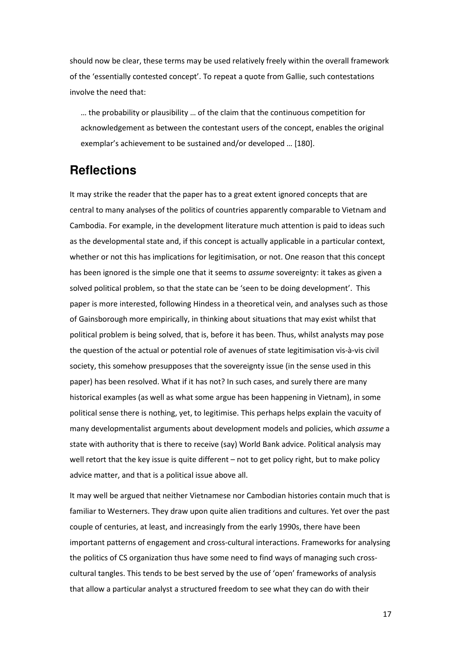should now be clear, these terms may be used relatively freely within the overall framework of the 'essentially contested concept'. To repeat a quote from Gallie, such contestations involve the need that:

… the probability or plausibility … of the claim that the continuous competition for acknowledgement as between the contestant users of the concept, enables the original exemplar's achievement to be sustained and/or developed … [180].

## **Reflections**

It may strike the reader that the paper has to a great extent ignored concepts that are central to many analyses of the politics of countries apparently comparable to Vietnam and Cambodia. For example, in the development literature much attention is paid to ideas such as the developmental state and, if this concept is actually applicable in a particular context, whether or not this has implications for legitimisation, or not. One reason that this concept has been ignored is the simple one that it seems to *assume* sovereignty: it takes as given a solved political problem, so that the state can be 'seen to be doing development'. This paper is more interested, following Hindess in a theoretical vein, and analyses such as those of Gainsborough more empirically, in thinking about situations that may exist whilst that political problem is being solved, that is, before it has been. Thus, whilst analysts may pose the question of the actual or potential role of avenues of state legitimisation vis-à-vis civil society, this somehow presupposes that the sovereignty issue (in the sense used in this paper) has been resolved. What if it has not? In such cases, and surely there are many historical examples (as well as what some argue has been happening in Vietnam), in some political sense there is nothing, yet, to legitimise. This perhaps helps explain the vacuity of many developmentalist arguments about development models and policies, which assume a state with authority that is there to receive (say) World Bank advice. Political analysis may well retort that the key issue is quite different – not to get policy right, but to make policy advice matter, and that is a political issue above all.

It may well be argued that neither Vietnamese nor Cambodian histories contain much that is familiar to Westerners. They draw upon quite alien traditions and cultures. Yet over the past couple of centuries, at least, and increasingly from the early 1990s, there have been important patterns of engagement and cross-cultural interactions. Frameworks for analysing the politics of CS organization thus have some need to find ways of managing such crosscultural tangles. This tends to be best served by the use of 'open' frameworks of analysis that allow a particular analyst a structured freedom to see what they can do with their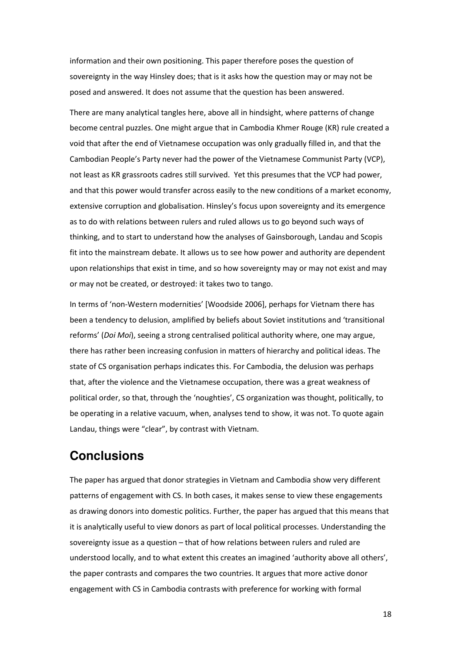information and their own positioning. This paper therefore poses the question of sovereignty in the way Hinsley does; that is it asks how the question may or may not be posed and answered. It does not assume that the question has been answered.

There are many analytical tangles here, above all in hindsight, where patterns of change become central puzzles. One might argue that in Cambodia Khmer Rouge (KR) rule created a void that after the end of Vietnamese occupation was only gradually filled in, and that the Cambodian People's Party never had the power of the Vietnamese Communist Party (VCP), not least as KR grassroots cadres still survived. Yet this presumes that the VCP had power, and that this power would transfer across easily to the new conditions of a market economy, extensive corruption and globalisation. Hinsley's focus upon sovereignty and its emergence as to do with relations between rulers and ruled allows us to go beyond such ways of thinking, and to start to understand how the analyses of Gainsborough, Landau and Scopis fit into the mainstream debate. It allows us to see how power and authority are dependent upon relationships that exist in time, and so how sovereignty may or may not exist and may or may not be created, or destroyed: it takes two to tango.

In terms of 'non-Western modernities' [Woodside 2006], perhaps for Vietnam there has been a tendency to delusion, amplified by beliefs about Soviet institutions and 'transitional reforms' (Doi Moi), seeing a strong centralised political authority where, one may argue, there has rather been increasing confusion in matters of hierarchy and political ideas. The state of CS organisation perhaps indicates this. For Cambodia, the delusion was perhaps that, after the violence and the Vietnamese occupation, there was a great weakness of political order, so that, through the 'noughties', CS organization was thought, politically, to be operating in a relative vacuum, when, analyses tend to show, it was not. To quote again Landau, things were "clear", by contrast with Vietnam.

### **Conclusions**

The paper has argued that donor strategies in Vietnam and Cambodia show very different patterns of engagement with CS. In both cases, it makes sense to view these engagements as drawing donors into domestic politics. Further, the paper has argued that this means that it is analytically useful to view donors as part of local political processes. Understanding the sovereignty issue as a question – that of how relations between rulers and ruled are understood locally, and to what extent this creates an imagined 'authority above all others', the paper contrasts and compares the two countries. It argues that more active donor engagement with CS in Cambodia contrasts with preference for working with formal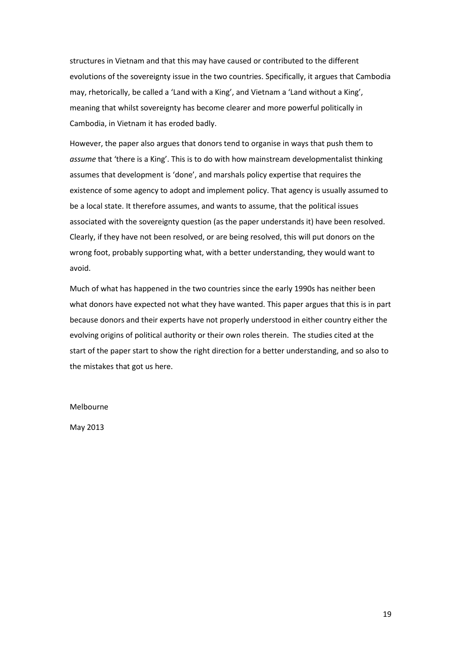structures in Vietnam and that this may have caused or contributed to the different evolutions of the sovereignty issue in the two countries. Specifically, it argues that Cambodia may, rhetorically, be called a 'Land with a King', and Vietnam a 'Land without a King', meaning that whilst sovereignty has become clearer and more powerful politically in Cambodia, in Vietnam it has eroded badly.

However, the paper also argues that donors tend to organise in ways that push them to assume that 'there is a King'. This is to do with how mainstream developmentalist thinking assumes that development is 'done', and marshals policy expertise that requires the existence of some agency to adopt and implement policy. That agency is usually assumed to be a local state. It therefore assumes, and wants to assume, that the political issues associated with the sovereignty question (as the paper understands it) have been resolved. Clearly, if they have not been resolved, or are being resolved, this will put donors on the wrong foot, probably supporting what, with a better understanding, they would want to avoid.

Much of what has happened in the two countries since the early 1990s has neither been what donors have expected not what they have wanted. This paper argues that this is in part because donors and their experts have not properly understood in either country either the evolving origins of political authority or their own roles therein. The studies cited at the start of the paper start to show the right direction for a better understanding, and so also to the mistakes that got us here.

Melbourne

May 2013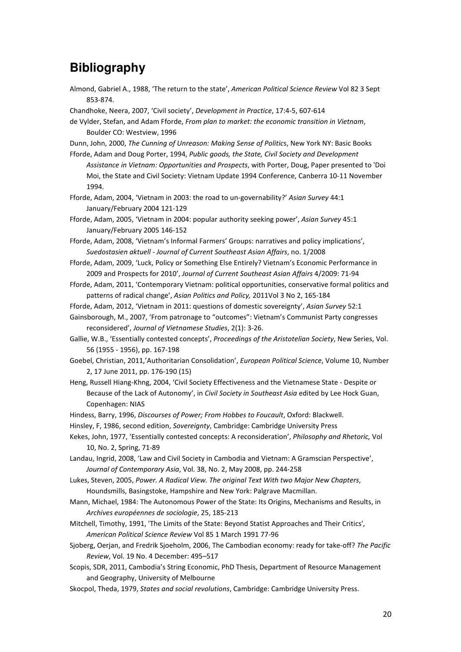## **Bibliography**

- Almond, Gabriel A., 1988, 'The return to the state', American Political Science Review Vol 82 3 Sept 853-874.
- Chandhoke, Neera, 2007, 'Civil society', Development in Practice, 17:4-5, 607-614
- de Vylder, Stefan, and Adam Fforde, From plan to market: the economic transition in Vietnam, Boulder CO: Westview, 1996

Dunn, John, 2000, The Cunning of Unreason: Making Sense of Politics, New York NY: Basic Books Fforde, Adam and Doug Porter, 1994, Public goods, the State, Civil Society and Development

Assistance in Vietnam: Opportunities and Prospects, with Porter, Doug, Paper presented to 'Doi Moi, the State and Civil Society: Vietnam Update 1994 Conference, Canberra 10-11 November 1994.

Fforde, Adam, 2004, 'Vietnam in 2003: the road to un-governability?' Asian Survey 44:1 January/February 2004 121-129

Fforde, Adam, 2005, 'Vietnam in 2004: popular authority seeking power', Asian Survey 45:1 January/February 2005 146-152

Fforde, Adam, 2008, 'Vietnam's Informal Farmers' Groups: narratives and policy implications', Suedostasien aktuell - Journal of Current Southeast Asian Affairs, no. 1/2008

- Fforde, Adam, 2009, 'Luck, Policy or Something Else Entirely? Vietnam's Economic Performance in 2009 and Prospects for 2010', Journal of Current Southeast Asian Affairs 4/2009: 71-94
- Fforde, Adam, 2011, 'Contemporary Vietnam: political opportunities, conservative formal politics and patterns of radical change', Asian Politics and Policy, 2011Vol 3 No 2, 165-184
- Fforde, Adam, 2012, 'Vietnam in 2011: questions of domestic sovereignty', Asian Survey 52:1
- Gainsborough, M., 2007, 'From patronage to "outcomes": Vietnam's Communist Party congresses reconsidered', Journal of Vietnamese Studies, 2(1): 3-26.
- Gallie, W.B., 'Essentially contested concepts', Proceedings of the Aristotelian Society, New Series, Vol. 56 (1955 - 1956), pp. 167-198
- Goebel, Christian, 2011,'Authoritarian Consolidation', European Political Science, Volume 10, Number 2, 17 June 2011, pp. 176-190 (15)
- Heng, Russell Hiang-Khng, 2004, 'Civil Society Effectiveness and the Vietnamese State Despite or Because of the Lack of Autonomy', in Civil Society in Southeast Asia edited by Lee Hock Guan, Copenhagen: NIAS
- Hindess, Barry, 1996, Discourses of Power; From Hobbes to Foucault, Oxford: Blackwell.
- Hinsley, F, 1986, second edition, Sovereignty, Cambridge: Cambridge University Press
- Kekes, John, 1977, 'Essentially contested concepts: A reconsideration', Philosophy and Rhetoric, Vol 10, No. 2, Spring, 71-89
- Landau, Ingrid, 2008, 'Law and Civil Society in Cambodia and Vietnam: A Gramscian Perspective', Journal of Contemporary Asia, Vol. 38, No. 2, May 2008, pp. 244-258
- Lukes, Steven, 2005, Power. A Radical View. The original Text With two Major New Chapters, Houndsmills, Basingstoke, Hampshire and New York: Palgrave Macmillan.
- Mann, Michael, 1984: The Autonomous Power of the State: Its Origins, Mechanisms and Results, in Archives européennes de sociologie, 25, 185-213
- Mitchell, Timothy, 1991, 'The Limits of the State: Beyond Statist Approaches and Their Critics', American Political Science Review Vol 85 1 March 1991 77-96
- Sjoberg, Oerjan, and Fredrik Sjoeholm, 2006, The Cambodian economy: ready for take-off? The Pacific Review, Vol. 19 No. 4 December: 495–517
- Scopis, SDR, 2011, Cambodia's String Economic, PhD Thesis, Department of Resource Management and Geography, University of Melbourne
- Skocpol, Theda, 1979, States and social revolutions, Cambridge: Cambridge University Press.